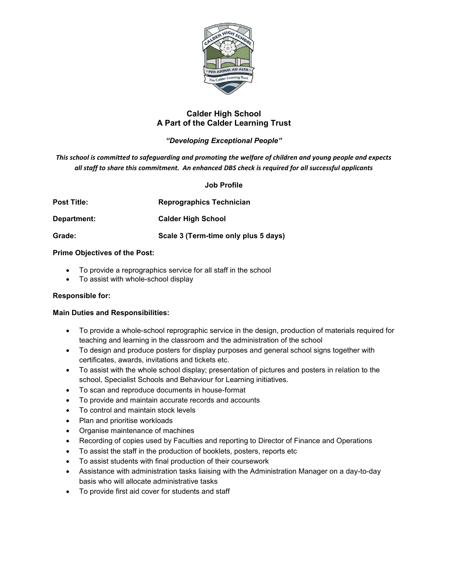

# **Calder High School A Part of the Calder Learning Trust**

# *"Developing Exceptional People"*

*This school is committed to safeguarding and promoting the welfare of children and young people and expects all staff to share this commitment. An enhanced DBS check is required for all successful applicants* 

## **Job Profile**

| Post Title: | <b>Reprographics Technician</b>      |
|-------------|--------------------------------------|
| Department: | <b>Calder High School</b>            |
| Grade:      | Scale 3 (Term-time only plus 5 days) |

## **Prime Objectives of the Post:**

- To provide a reprographics service for all staff in the school
- To assist with whole-school display

## **Responsible for:**

## **Main Duties and Responsibilities:**

- To provide a whole-school reprographic service in the design, production of materials required for teaching and learning in the classroom and the administration of the school
- To design and produce posters for display purposes and general school signs together with certificates, awards, invitations and tickets etc.
- To assist with the whole school display; presentation of pictures and posters in relation to the school, Specialist Schools and Behaviour for Learning initiatives.
- To scan and reproduce documents in house-format
- To provide and maintain accurate records and accounts
- To control and maintain stock levels
- Plan and prioritise workloads
- Organise maintenance of machines
- Recording of copies used by Faculties and reporting to Director of Finance and Operations
- To assist the staff in the production of booklets, posters, reports etc
- To assist students with final production of their coursework
- Assistance with administration tasks liaising with the Administration Manager on a day-to-day basis who will allocate administrative tasks
- To provide first aid cover for students and staff